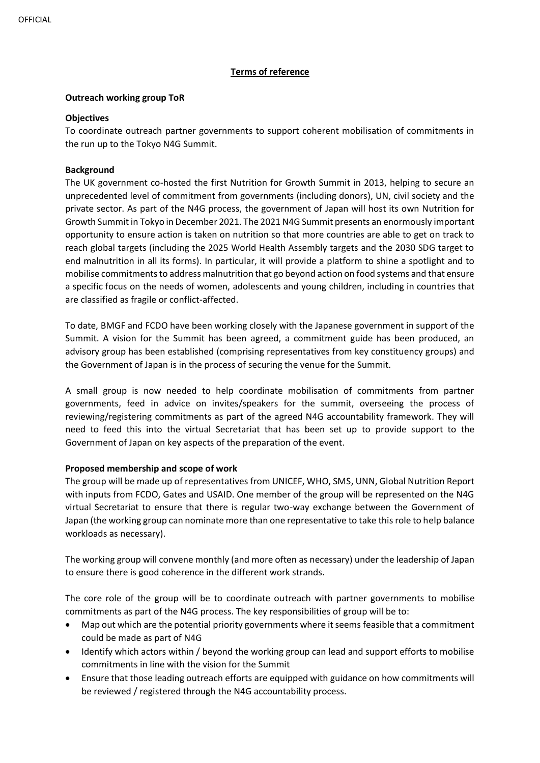# **Terms of reference**

### **Outreach working group ToR**

### **Objectives**

To coordinate outreach partner governments to support coherent mobilisation of commitments in the run up to the Tokyo N4G Summit.

## **Background**

The UK government co-hosted the first Nutrition for Growth Summit in 2013, helping to secure an unprecedented level of commitment from governments (including donors), UN, civil society and the private sector. As part of the N4G process, the government of Japan will host its own Nutrition for Growth Summit in Tokyo in December 2021. The 2021 N4G Summit presents an enormously important opportunity to ensure action is taken on nutrition so that more countries are able to get on track to reach global targets (including the 2025 World Health Assembly targets and the 2030 SDG target to end malnutrition in all its forms). In particular, it will provide a platform to shine a spotlight and to mobilise commitments to address malnutrition that go beyond action on food systems and that ensure a specific focus on the needs of women, adolescents and young children, including in countries that are classified as fragile or conflict-affected.

To date, BMGF and FCDO have been working closely with the Japanese government in support of the Summit. A vision for the Summit has been agreed, a commitment guide has been produced, an advisory group has been established (comprising representatives from key constituency groups) and the Government of Japan is in the process of securing the venue for the Summit.

A small group is now needed to help coordinate mobilisation of commitments from partner governments, feed in advice on invites/speakers for the summit, overseeing the process of reviewing/registering commitments as part of the agreed N4G accountability framework. They will need to feed this into the virtual Secretariat that has been set up to provide support to the Government of Japan on key aspects of the preparation of the event.

# **Proposed membership and scope of work**

The group will be made up of representatives from UNICEF, WHO, SMS, UNN, Global Nutrition Report with inputs from FCDO, Gates and USAID. One member of the group will be represented on the N4G virtual Secretariat to ensure that there is regular two-way exchange between the Government of Japan (the working group can nominate more than one representative to take this role to help balance workloads as necessary).

The working group will convene monthly (and more often as necessary) under the leadership of Japan to ensure there is good coherence in the different work strands.

The core role of the group will be to coordinate outreach with partner governments to mobilise commitments as part of the N4G process. The key responsibilities of group will be to:

- Map out which are the potential priority governments where it seems feasible that a commitment could be made as part of N4G
- Identify which actors within / beyond the working group can lead and support efforts to mobilise commitments in line with the vision for the Summit
- Ensure that those leading outreach efforts are equipped with guidance on how commitments will be reviewed / registered through the N4G accountability process.